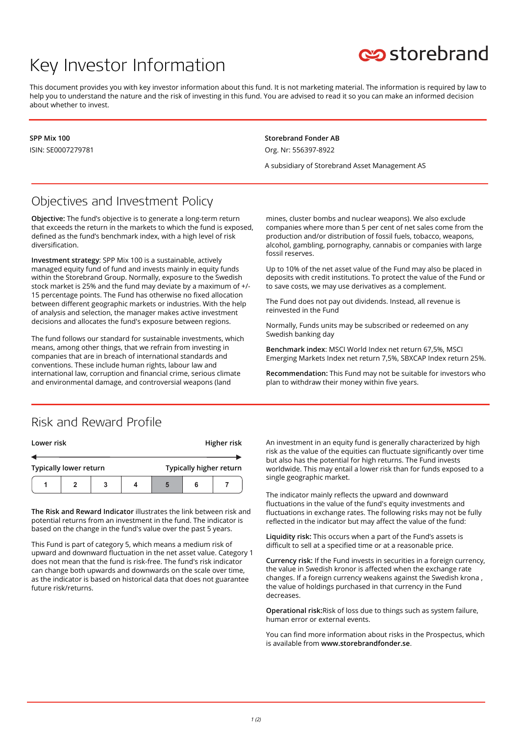# Key Investor Information



This document provides you with key investor information about this fund. It is not marketing material. The information is required by law to help you to understand the nature and the risk of investing in this fund. You are advised to read it so you can make an informed decision about whether to invest.

**SPP Mix 100** ISIN: SE0007279781 **Storebrand Fonder AB** Org. Nr: 556397-8922

A subsidiary of Storebrand Asset Management AS

## Objectives and Investment Policy

**Objective:** The fund's objective is to generate a long-term return that exceeds the return in the markets to which the fund is exposed, defined as the fund's benchmark index, with a high level of risk diversification.

**Investment strategy**: SPP Mix 100 is a sustainable, actively managed equity fund of fund and invests mainly in equity funds within the Storebrand Group. Normally, exposure to the Swedish stock market is 25% and the fund may deviate by a maximum of +/- 15 percentage points. The Fund has otherwise no fixed allocation between different geographic markets or industries. With the help of analysis and selection, the manager makes active investment decisions and allocates the fund's exposure between regions.

The fund follows our standard for sustainable investments, which means, among other things, that we refrain from investing in companies that are in breach of international standards and conventions. These include human rights, labour law and international law, corruption and financial crime, serious climate and environmental damage, and controversial weapons (land

mines, cluster bombs and nuclear weapons). We also exclude companies where more than 5 per cent of net sales come from the production and/or distribution of fossil fuels, tobacco, weapons, alcohol, gambling, pornography, cannabis or companies with large fossil reserves.

Up to 10% of the net asset value of the Fund may also be placed in deposits with credit institutions. To protect the value of the Fund or to save costs, we may use derivatives as a complement.

The Fund does not pay out dividends. Instead, all revenue is reinvested in the Fund

Normally, Funds units may be subscribed or redeemed on any Swedish banking day

**Benchmark index**: MSCI World Index net return 67,5%, MSCI Emerging Markets Index net return 7,5%, SBXCAP Index return 25%.

**Recommendation:** This Fund may not be suitable for investors who plan to withdraw their money within five years.

#### Risk and Reward Profile

| Lower risk                    |  |   |  |                         | Higher risk |  |  |
|-------------------------------|--|---|--|-------------------------|-------------|--|--|
|                               |  |   |  |                         |             |  |  |
| <b>Typically lower return</b> |  |   |  | Typically higher return |             |  |  |
|                               |  | 3 |  | 5                       | 6           |  |  |

**The Risk and Reward Indicator** illustrates the link between risk and potential returns from an investment in the fund. The indicator is based on the change in the fund's value over the past 5 years.

This Fund is part of category 5, which means a medium risk of upward and downward fluctuation in the net asset value. Category 1 does not mean that the fund is risk-free. The fund's risk indicator can change both upwards and downwards on the scale over time, as the indicator is based on historical data that does not guarantee future risk/returns.

An investment in an equity fund is generally characterized by high risk as the value of the equities can fluctuate significantly over time but also has the potential for high returns. The Fund invests worldwide. This may entail a lower risk than for funds exposed to a single geographic market.

The indicator mainly reflects the upward and downward fluctuations in the value of the fund's equity investments and fluctuations in exchange rates. The following risks may not be fully reflected in the indicator but may affect the value of the fund:

**Liquidity risk:** This occurs when a part of the Fund's assets is difficult to sell at a specified time or at a reasonable price.

**Currency risk:** If the Fund invests in securities in a foreign currency, the value in Swedish kronor is affected when the exchange rate changes. If a foreign currency weakens against the Swedish krona , the value of holdings purchased in that currency in the Fund decreases.

**Operational risk:**Risk of loss due to things such as system failure, human error or external events.

You can find more information about risks in the Prospectus, which is available from **www.storebrandfonder.se**.